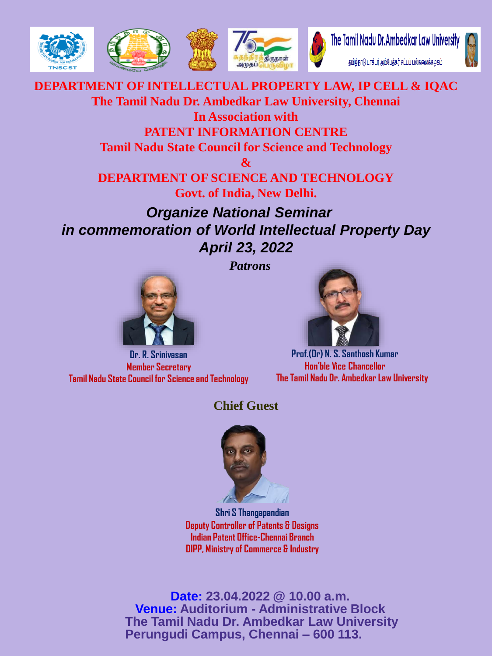



## **DEPARTMENT OF INTELLECTUAL PROPERTY LAW, IP CELL & IQAC The Tamil Nadu Dr. Ambedkar Law University, Chennai In Association with PATENT INFORMATION CENTRE**

**Tamil Nadu State Council for Science and Technology**

**&**

**DEPARTMENT OF SCIENCE AND TECHNOLOGY Govt. of India, New Delhi.**

*Organize National Seminar in commemoration of World Intellectual Property Day April 23, 2022*

*Patrons*



**Dr. R. Srinivasan Member Secretary Tamil Nadu State Council for Science and Technology**

**Prof.(Dr) N. S. Santhosh Kumar Hon'ble Vice Chancellor The Tamil Nadu Dr. Ambedkar Law University**

## **Chief Guest**



**Shri S Thangapandian Deputy Controller of Patents & Designs Indian Patent Office-Chennai Branch DIPP, Ministry of Commerce & Industry**

**Date: 23.04.2022 @ 10.00 a.m. Venue: Auditorium - Administrative Block The Tamil Nadu Dr. Ambedkar Law University Perungudi Campus, Chennai – 600 113.**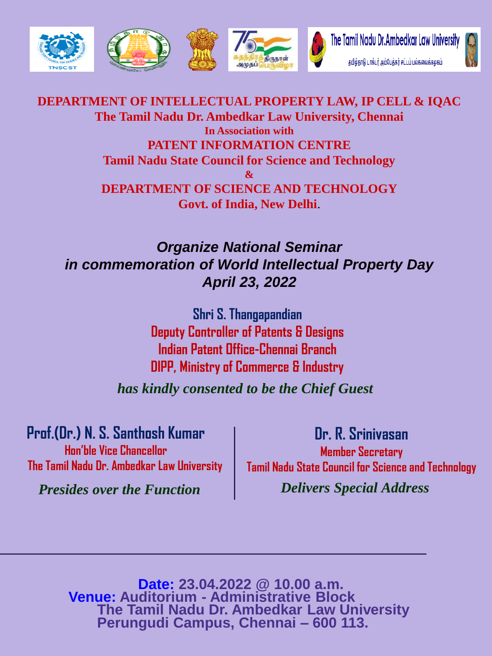

**DEPARTMENT OF INTELLECTUAL PROPERTY LAW, IP CELL & IQAC The Tamil Nadu Dr. Ambedkar Law University, Chennai In Association with PATENT INFORMATION CENTRE Tamil Nadu State Council for Science and Technology & DEPARTMENT OF SCIENCE AND TECHNOLOGY Govt. of India, New Delhi**.

## *Organize National Seminar in commemoration of World Intellectual Property Day April 23, 2022*

**Shri S. Thangapandian Deputy Controller of Patents & Designs Indian Patent Office-Chennai Branch DIPP, Ministry of Commerce & Industry**

*has kindly consented to be the Chief Guest*

**Prof.(Dr.) N. S. Santhosh Kumar Hon'ble Vice Chancellor The Tamil Nadu Dr. Ambedkar Law University**

*Presides over the Function Delivers Special Address*

**Dr. R. Srinivasan Member Secretary**

**Tamil Nadu State Council for Science and Technology**

**Date: 23.04.2022 @ 10.00 a.m. Venue: Auditorium - Administrative Block The Tamil Nadu Dr. Ambedkar Law University Perungudi Campus, Chennai – 600 113.**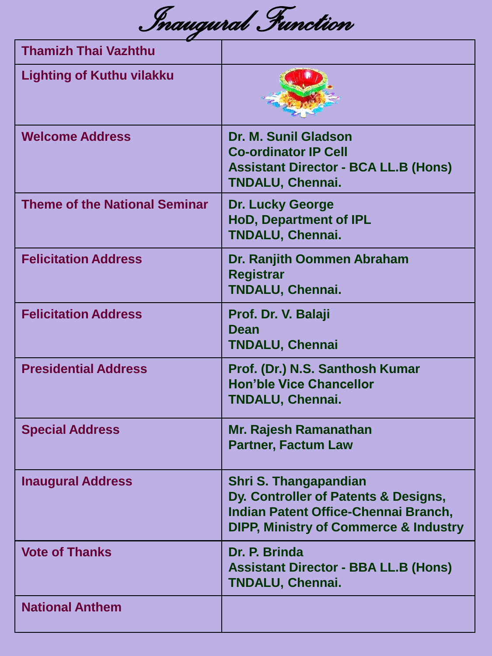*Inaugural Function* 

| <b>Thamizh Thai Vazhthu</b>          |                                                                                                                                                           |
|--------------------------------------|-----------------------------------------------------------------------------------------------------------------------------------------------------------|
| <b>Lighting of Kuthu vilakku</b>     |                                                                                                                                                           |
| <b>Welcome Address</b>               | <b>Dr. M. Sunil Gladson</b><br><b>Co-ordinator IP Cell</b><br><b>Assistant Director - BCA LL.B (Hons)</b><br><b>TNDALU, Chennai.</b>                      |
| <b>Theme of the National Seminar</b> | <b>Dr. Lucky George</b><br><b>HoD, Department of IPL</b><br><b>TNDALU, Chennai.</b>                                                                       |
| <b>Felicitation Address</b>          | Dr. Ranjith Oommen Abraham<br><b>Registrar</b><br><b>TNDALU, Chennai.</b>                                                                                 |
| <b>Felicitation Address</b>          | Prof. Dr. V. Balaji<br>Dean<br><b>TNDALU, Chennai</b>                                                                                                     |
| <b>Presidential Address</b>          | Prof. (Dr.) N.S. Santhosh Kumar<br><b>Hon'ble Vice Chancellor</b><br><b>TNDALU, Chennai.</b>                                                              |
| <b>Special Address</b>               | Mr. Rajesh Ramanathan<br><b>Partner, Factum Law</b>                                                                                                       |
| <b>Inaugural Address</b>             | Shri S. Thangapandian<br>Dy. Controller of Patents & Designs,<br>Indian Patent Office-Chennai Branch,<br><b>DIPP, Ministry of Commerce &amp; Industry</b> |
| <b>Vote of Thanks</b>                | Dr. P. Brinda<br><b>Assistant Director - BBA LL.B (Hons)</b><br><b>TNDALU, Chennai.</b>                                                                   |
| <b>National Anthem</b>               |                                                                                                                                                           |